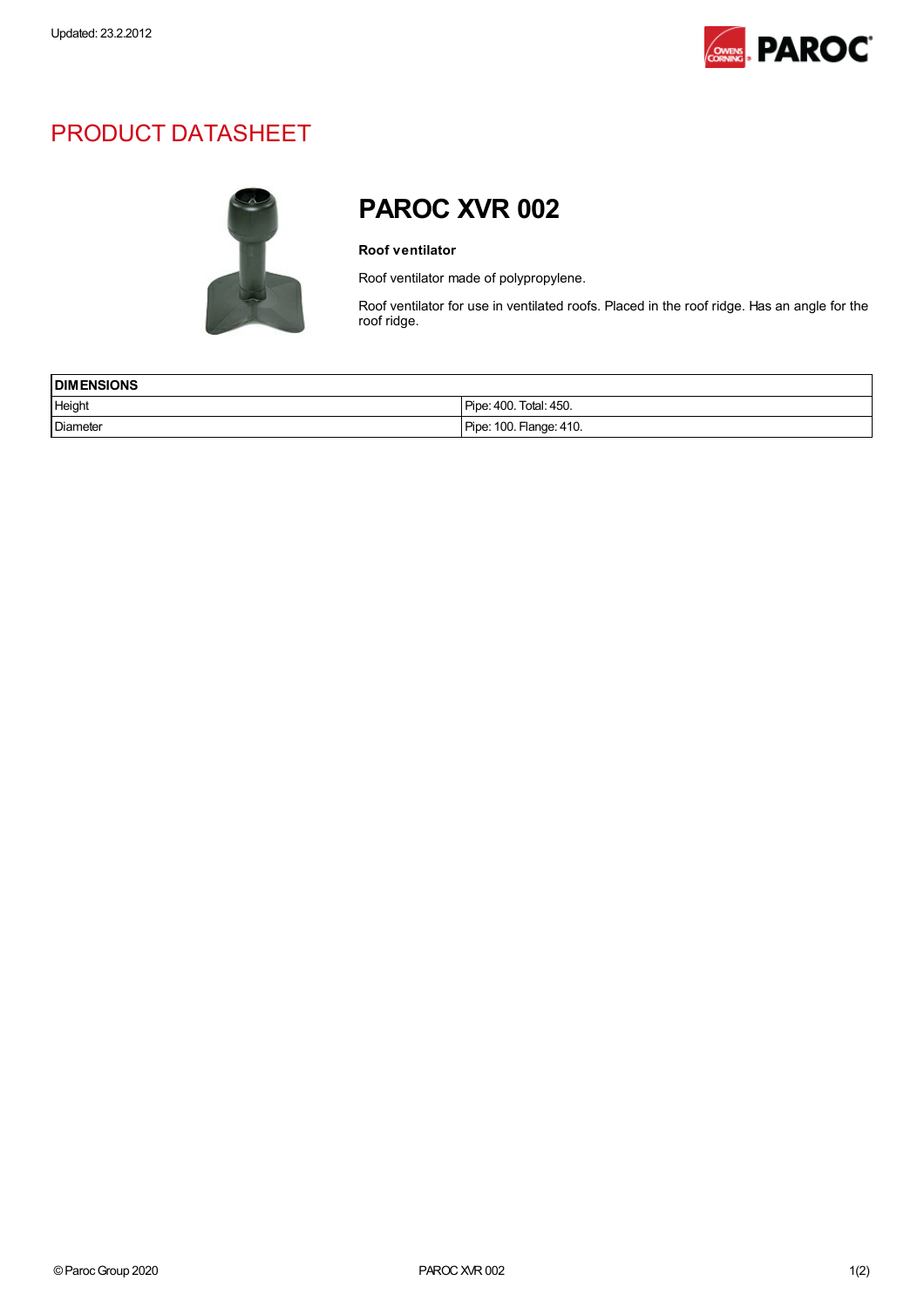

## PRODUCT DATASHEET



## PAROC XVR 002

## Roof ventilator

Roof ventilator made of polypropylene.

Roof ventilator for use in ventilated roofs. Placed in the roof ridge. Has an angle for the roof ridge.

| <b>IDIMENSIONS</b> |                         |
|--------------------|-------------------------|
| Height             | Pipe: 400. Total: 450.  |
| Diameter           | Pipe: 100. Flange: 410. |